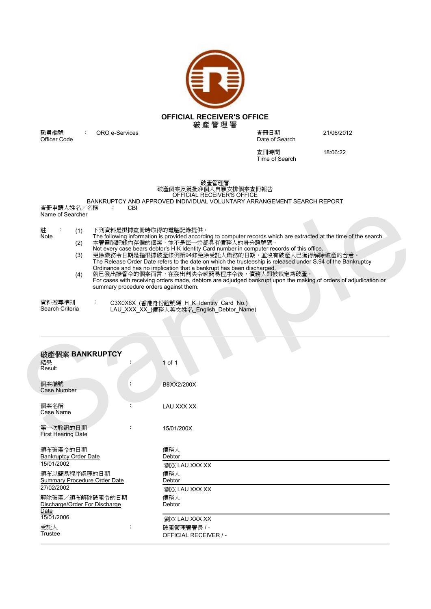

Date of Search

查冊時間 18:06:22 Time of Search

破產管理署 破產個案及獲批准個人自願安排個案查冊報告 OFFICIAL RECEIVER'S OFFICE

## BANKRUPTCY AND APPROVED INDIVIDUAL VOLUNTARY ARRANGEMENT SEARCH REPORT<br>查冊申請人姓名/名稱 : CBI

Name of Searcher

| 註                         |  | (1) | 下列資料是根據查冊時取得的電腦記錄提供。                                                                                               |
|---------------------------|--|-----|--------------------------------------------------------------------------------------------------------------------|
| Note                      |  |     | The following information is provided according to computer records which are extracted at the time of the search. |
|                           |  | (2) | 本署電腦記錄內存備的個案,並不是每一宗都具有債務人的身分證號碼。                                                                                   |
|                           |  |     | Not every case bears debtor's H K Identity Card number in computer records of this office.                         |
|                           |  | (3) | 免除職務令日期是指根據破產條例第94條免除受託人職務的日期,並沒有破產人已獲得解除破產的含意。                                                                    |
|                           |  |     | The Release Order Date refers to the date on which the trusteeship is released under S.94 of the Bankruptcy        |
|                           |  |     | Ordinance and has no implication that a bankrupt has been discharged.                                              |
|                           |  | (4) | 就已發出接管令的個案而言,在發出判決令或簡易程序令後,債務人即被裁定為破產。                                                                             |
|                           |  |     | For cases with receiving orders made, debtors are adjudged bankrupt upon the making of orders of adjudication or   |
|                           |  |     | summary procedure orders against them.                                                                             |
|                           |  |     |                                                                                                                    |
|                           |  |     |                                                                                                                    |
| 資料搜尋準則<br>Search Criteria |  |     | C3X0X6X_(香港身份證號碼_H_K_Identity_Card_No.)                                                                            |
|                           |  |     | LAU_XXX_XX_(債務人英文姓名_English_Debtor_Name)                                                                           |
|                           |  |     |                                                                                                                    |

| (4)                                                        |                                        | The following information is provided according to computer records which are extracted at the time of the search.<br>本署電腦記錄內存備的個案,並不是每一宗都具有債務人的身分證號碼。<br>Not every case bears debtor's H K Identity Card number in computer records of this office.<br>免除職務令日期是指根據破產條例第94條免除受託人職務的日期,並沒有破產人已獲得解除破產的含意。<br>The Release Order Date refers to the date on which the trusteeship is released under S.94 of the Bankruptcy<br>Ordinance and has no implication that a bankrupt has been discharged.<br>就已發出接管令的個案而言,在發出判決令或簡易程序令後,債務人即被裁定為破產。 |
|------------------------------------------------------------|----------------------------------------|-------------------------------------------------------------------------------------------------------------------------------------------------------------------------------------------------------------------------------------------------------------------------------------------------------------------------------------------------------------------------------------------------------------------------------------------------------------------------------------------------------------------------------------------|
|                                                            | summary procedure orders against them. | For cases with receiving orders made, debtors are adjudged bankrupt upon the making of orders of adjudication or                                                                                                                                                                                                                                                                                                                                                                                                                          |
| 資料搜尋準則<br>Search Criteria                                  |                                        | C3X0X6X_(香港身份證號碼_H_K_Identity_Card_No.)<br>LAU_XXX_XX_(債務人英文姓名_English_Debtor_Name)                                                                                                                                                                                                                                                                                                                                                                                                                                                       |
| 破產個案 BANKRUPTCY                                            |                                        |                                                                                                                                                                                                                                                                                                                                                                                                                                                                                                                                           |
| 結果<br>Result                                               |                                        | 1 of 1                                                                                                                                                                                                                                                                                                                                                                                                                                                                                                                                    |
| 個案編號<br>Case Number                                        |                                        | B8XX2/200X                                                                                                                                                                                                                                                                                                                                                                                                                                                                                                                                |
| 個案名稱<br>Case Name                                          | $\ddot{\cdot}$                         | LAU XXX XX                                                                                                                                                                                                                                                                                                                                                                                                                                                                                                                                |
| 第一次聆訊的日期<br><b>First Hearing Date</b>                      |                                        | 15/01/200X                                                                                                                                                                                                                                                                                                                                                                                                                                                                                                                                |
| 頒布破產令的日期<br><b>Bankruptcy Order Date</b>                   |                                        | 債務人<br>Debtor                                                                                                                                                                                                                                                                                                                                                                                                                                                                                                                             |
| 15/01/2002<br>頒布以簡易程序處理的日期<br>Summary Procedure Order Date |                                        | 劉XX LAU XXX XX<br>債務人<br>Debtor                                                                                                                                                                                                                                                                                                                                                                                                                                                                                                           |
| 27/02/2002<br>解除破產/頒布解除破產令的日期                              |                                        | 劉XX LAU XXX XX<br>債務人                                                                                                                                                                                                                                                                                                                                                                                                                                                                                                                     |
| Discharge/Order For Discharge<br>Date<br>15/01/2006        |                                        | Debtor                                                                                                                                                                                                                                                                                                                                                                                                                                                                                                                                    |
| 受託人                                                        |                                        | 劉XX LAU XXX XX<br>破產管理署署長 / -                                                                                                                                                                                                                                                                                                                                                                                                                                                                                                             |

**職員編號 ORO e-Services**<br>Officer Code 查冊日期 21/06/2012